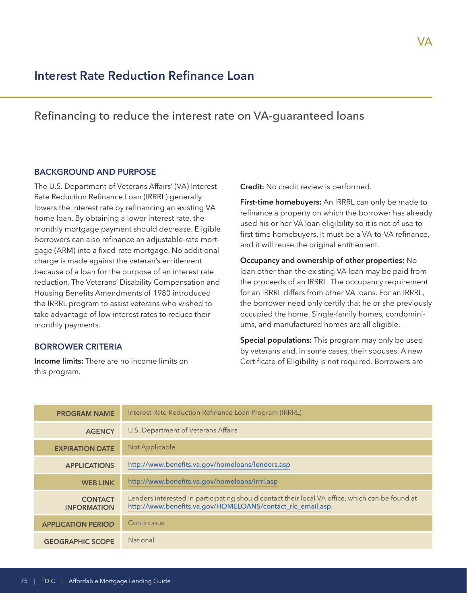# **Interest Rate Reduction Refinance Loan**

## Refinancing to reduce the interest rate on VA-guaranteed loans

#### **BACKGROUND AND PURPOSE**

The U.S. Department of Veterans Affairs' (VA) Interest Rate Reduction Refinance Loan (IRRRL) generally lowers the interest rate by refinancing an existing VA home loan. By obtaining a lower interest rate, the monthly mortgage payment should decrease. Eligible borrowers can also refinance an adjustable-rate mortgage (ARM) into a fixed-rate mortgage. No additional charge is made against the veteran's entitlement because of a loan for the purpose of an interest rate reduction. The Veterans' Disability Compensation and Housing Benefits Amendments of 1980 introduced the IRRRL program to assist veterans who wished to take advantage of low interest rates to reduce their monthly payments.

#### **BORROWER CRITERIA**

**Income limits:** There are no income limits on this program.

**Credit:** No credit review is performed.

**First-time homebuyers:** An IRRRL can only be made to refinance a property on which the borrower has already used his or her VA loan eligibility so it is not of use to first-time homebuyers. It must be a VA-to-VA refinance, and it will reuse the original entitlement.

**Occupancy and ownership of other properties:** No loan other than the existing VA loan may be paid from the proceeds of an IRRRL. The occupancy requirement for an IRRRL differs from other VA loans. For an IRRRL, the borrower need only certify that he or she previously occupied the home. Single-family homes, condominiums, and manufactured homes are all eligible.

**Special populations:** This program may only be used by veterans and, in some cases, their spouses. A new Certificate of Eligibility is not required. Borrowers are

| <b>PROGRAM NAME</b>                  | Interest Rate Reduction Refinance Loan Program (IRRRL)                                                                                                        |
|--------------------------------------|---------------------------------------------------------------------------------------------------------------------------------------------------------------|
| <b>AGENCY</b>                        | U.S. Department of Veterans Affairs                                                                                                                           |
| <b>EXPIRATION DATE</b>               | Not Applicable                                                                                                                                                |
| <b>APPLICATIONS</b>                  | http://www.benefits.va.gov/homeloans/lenders.asp                                                                                                              |
| <b>WEB LINK</b>                      | http://www.benefits.va.gov/homeloans/irrrl.asp                                                                                                                |
| <b>CONTACT</b><br><b>INFORMATION</b> | Lenders interested in participating should contact their local VA office, which can be found at<br>http://www.benefits.va.gov/HOMELOANS/contact_rlc_email.asp |
| <b>APPLICATION PERIOD</b>            | Continuous                                                                                                                                                    |
| <b>GEOGRAPHIC SCOPE</b>              | <b>National</b>                                                                                                                                               |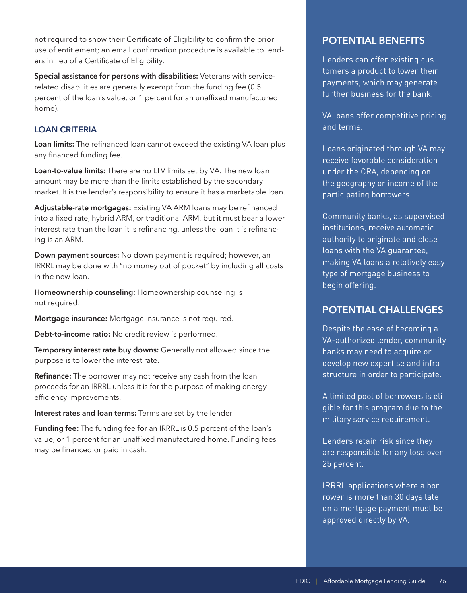not required to show their Certificate of Eligibility to confirm the prior use of entitlement; an email confirmation procedure is available to lenders in lieu of a Certificate of Eligibility.

**Special assistance for persons with disabilities:** Veterans with servicerelated disabilities are generally exempt from the funding fee (0.5 percent of the loan's value, or 1 percent for an unaffixed manufactured home).

## **LOAN CRITERIA**

**Loan limits:** The refinanced loan cannot exceed the existing VA loan plus any financed funding fee.

**Loan-to-value limits:** There are no LTV limits set by VA. The new loan amount may be more than the limits established by the secondary market. It is the lender's responsibility to ensure it has a marketable loan.

**Adjustable-rate mortgages:** Existing VA ARM loans may be refinanced into a fixed rate, hybrid ARM, or traditional ARM, but it must bear a lower interest rate than the loan it is refinancing, unless the loan it is refinancing is an ARM.

**Down payment sources:** No down payment is required; however, an IRRRL may be done with "no money out of pocket" by including all costs in the new loan.

**Homeownership counseling:** Homeownership counseling is not required.

**Mortgage insurance:** Mortgage insurance is not required.

**Debt-to-income ratio:** No credit review is performed.

**Temporary interest rate buy downs:** Generally not allowed since the purpose is to lower the interest rate.

**Refinance:** The borrower may not receive any cash from the loan proceeds for an IRRRL unless it is for the purpose of making energy efficiency improvements.

**Interest rates and loan terms:** Terms are set by the lender.

**Funding fee:** The funding fee for an IRRRL is 0.5 percent of the loan's value, or 1 percent for an unaffixed manufactured home. Funding fees may be financed or paid in cash.

## **POTENTIAL BENEFITS**

Lenders can offer existing cus tomers a product to lower their payments, which may generate further business for the bank.

VA loans offer competitive pricing and terms.

Loans originated through VA may receive favorable consideration under the CRA, depending on the geography or income of the participating borrowers.

Community banks, as supervised institutions, receive automatic authority to originate and close loans with the VA guarantee, making VA loans a relatively easy type of mortgage business to begin offering.

## **POTENTIAL CHALLENGES**

develop new expertise and infra Despite the ease of becoming a VA-authorized lender, community banks may need to acquire or structure in order to participate.

A limited pool of borrowers is eli gible for this program due to the military service requirement.

Lenders retain risk since they are responsible for any loss over 25 percent.

IRRRL applications where a bor rower is more than 30 days late on a mortgage payment must be approved directly by VA.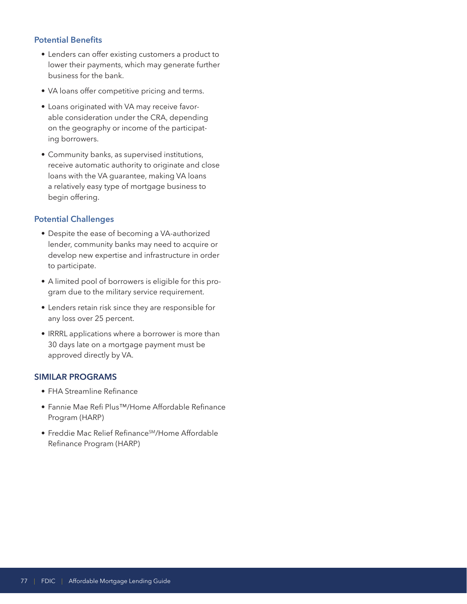### **Potential Benefits**

- Lenders can offer existing customers a product to lower their payments, which may generate further business for the bank.
- VA loans offer competitive pricing and terms.
- Loans originated with VA may receive favorable consideration under the CRA, depending on the geography or income of the participating borrowers.
- Community banks, as supervised institutions, receive automatic authority to originate and close loans with the VA guarantee, making VA loans a relatively easy type of mortgage business to begin offering.

## **Potential Challenges**

- Despite the ease of becoming a VA-authorized lender, community banks may need to acquire or develop new expertise and infrastructure in order to participate.
- A limited pool of borrowers is eligible for this program due to the military service requirement.
- Lenders retain risk since they are responsible for any loss over 25 percent.
- IRRRL applications where a borrower is more than 30 days late on a mortgage payment must be approved directly by VA.

### **SIMILAR PROGRAMS**

- FHA Streamline Refinance
- Fannie Mae Refi Plus™/Home Affordable Refinance Program (HARP)
- Freddie Mac Relief Refinance<sup>SM</sup>/Home Affordable Refinance Program (HARP)